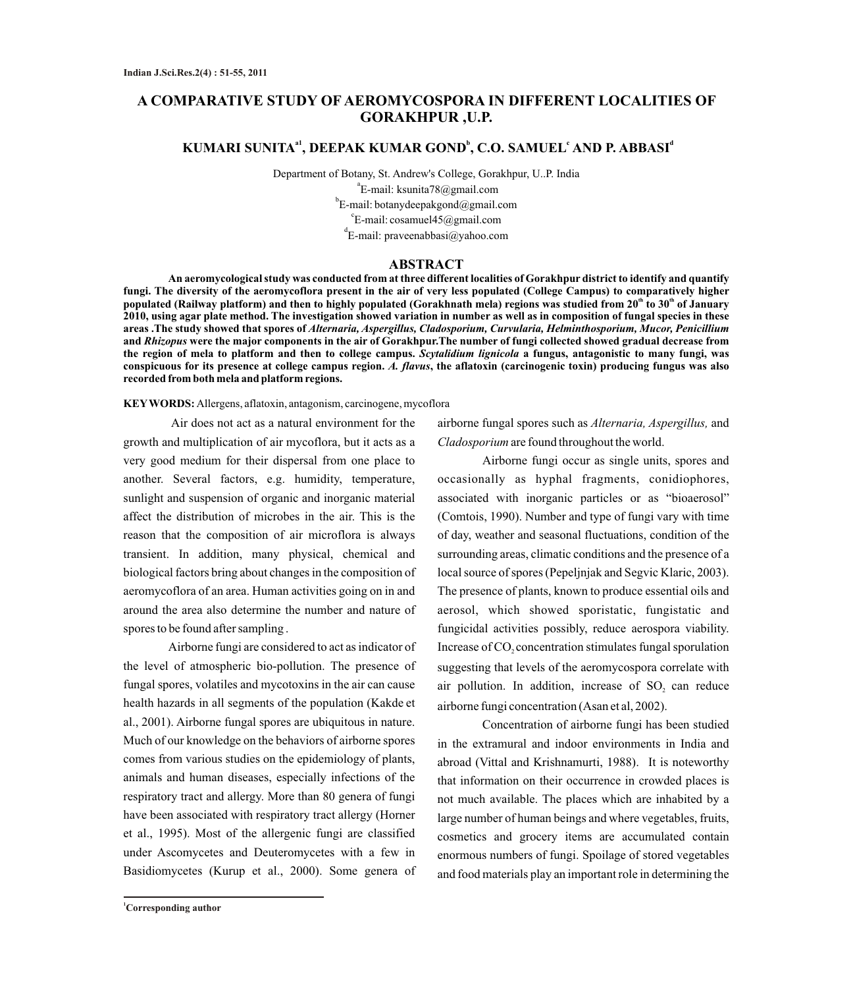# **A COMPARATIVE STUDY OF AEROMYCOSPORA IN DIFFERENT LOCALITIES OF GORAKHPUR ,U.P.**

# **a1 b c d KUMARI SUNITA , DEEPAK KUMAR GOND , C.O. SAMUEL AND P. ABBASI**

Department of Botany, St. Andrew's College, Gorakhpur, U..P. India a E-mail: ksunita78@gmail.com b E-mail: botanydeepakgond@gmail.com  $\mathrm{c}_{\mathrm{E\text{-}mail:}}$  cosamuel45@gmail.com d E-mail: praveenabbasi@yahoo.com

### **ABSTRACT**

**An aeromycological study was conducted from at three different localities of Gorakhpur district to identify and quantify fungi. The diversity of the aeromycoflora present in the air of very less populated (College Campus) to comparatively higher** populated (Railway platform) and then to highly populated (Gorakhnath mela) regions was studied from 20<sup>th</sup> to 30<sup>th</sup> of January **2010, using agar plate method. The investigation showed variation in number as well as in composition of fungal species in these areas .The study showed that spores of** *Alternaria, Aspergillus, Cladosporium, Curvularia, Helminthosporium, Mucor, Penicillium* **and** *Rhizopus* **were the major components in the air of Gorakhpur.The number of fungi collected showed gradual decrease from the region of mela to platform and then to college campus.** *Scytalidium lignicola* **a fungus, antagonistic to many fungi, was conspicuous for its presence at college campus region.** *A. flavus***, the aflatoxin (carcinogenic toxin) producing fungus was also recorded from both mela and platform regions.**

**KEYWORDS:** Allergens, aflatoxin, antagonism, carcinogene, mycoflora

Air does not act as a natural environment for the growth and multiplication of air mycoflora, but it acts as a very good medium for their dispersal from one place to another. Several factors, e.g. humidity, temperature, sunlight and suspension of organic and inorganic material affect the distribution of microbes in the air. This is the reason that the composition of air microflora is always transient. In addition, many physical, chemical and biological factors bring about changes in the composition of aeromycoflora of an area. Human activities going on in and around the area also determine the number and nature of spores to be found after sampling .

Airborne fungi are considered to act as indicator of the level of atmospheric bio-pollution. The presence of fungal spores, volatiles and mycotoxins in the air can cause health hazards in all segments of the population (Kakde et al., 2001). Airborne fungal spores are ubiquitous in nature. Much of our knowledge on the behaviors of airborne spores comes from various studies on the epidemiology of plants, animals and human diseases, especially infections of the respiratory tract and allergy. More than 80 genera of fungi have been associated with respiratory tract allergy (Horner et al., 1995). Most of the allergenic fungi are classified under Ascomycetes and Deuteromycetes with a few in Basidiomycetes (Kurup et al., 2000). Some genera of airborne fungal spores such as *Alternaria, Aspergillus,* and *Cladosporium* are found throughout the world.

Airborne fungi occur as single units, spores and occasionally as hyphal fragments, conidiophores, associated with inorganic particles or as "bioaerosol" (Comtois, 1990). Number and type of fungi vary with time of day, weather and seasonal fluctuations, condition of the surrounding areas, climatic conditions and the presence of a local source of spores (Pepeljnjak and Segvic Klaric, 2003). The presence of plants, known to produce essential oils and aerosol, which showed sporistatic, fungistatic and fungicidal activities possibly, reduce aerospora viability. Increase of CO<sub>2</sub> concentration stimulates fungal sporulation suggesting that levels of the aeromycospora correlate with air pollution. In addition, increase of  $SO<sub>2</sub>$  can reduce airborne fungi concentration (Asan et al, 2002).

Concentration of airborne fungi has been studied in the extramural and indoor environments in India and abroad (Vittal and Krishnamurti, 1988). It is noteworthy that information on their occurrence in crowded places is not much available. The places which are inhabited by a large number of human beings and where vegetables, fruits, cosmetics and grocery items are accumulated contain enormous numbers of fungi. Spoilage of stored vegetables and food materials play an important role in determining the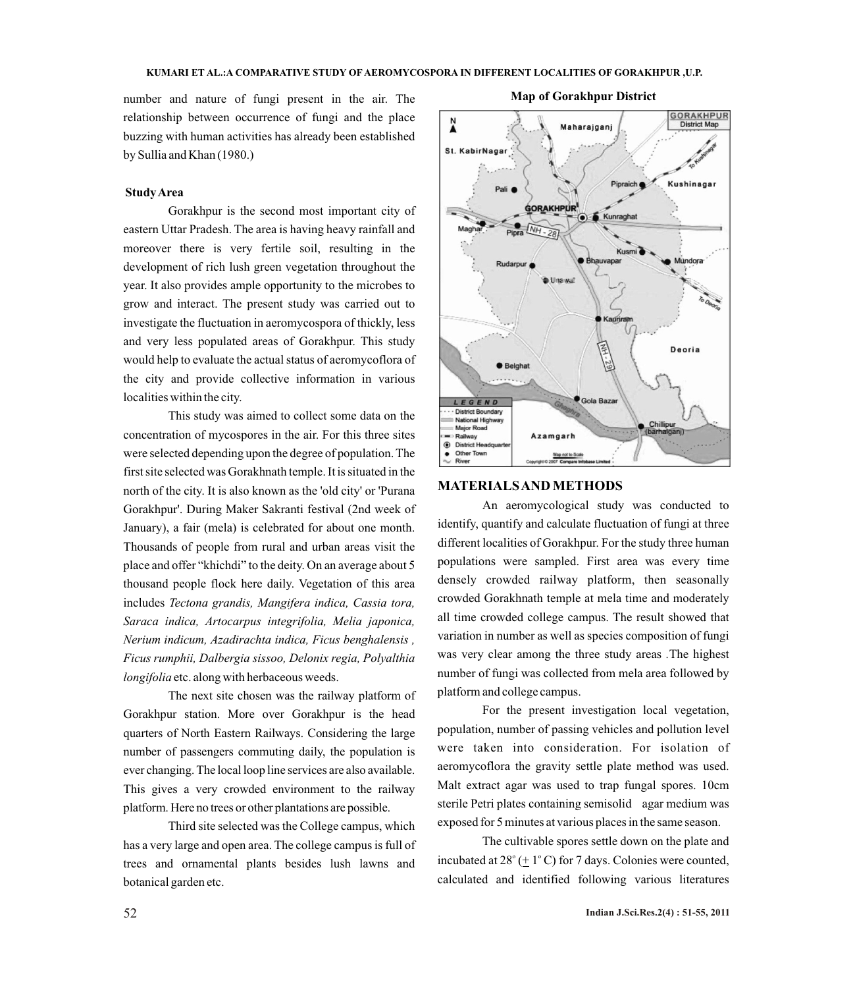number and nature of fungi present in the air. The relationship between occurrence of fungi and the place buzzing with human activities has already been established by Sullia and Khan (1980.)

#### **Study Area**

Gorakhpur is the second most important city of eastern Uttar Pradesh. The area is having heavy rainfall and moreover there is very fertile soil, resulting in the development of rich lush green vegetation throughout the year. It also provides ample opportunity to the microbes to grow and interact. The present study was carried out to investigate the fluctuation in aeromycospora of thickly, less and very less populated areas of Gorakhpur. This study would help to evaluate the actual status of aeromycoflora of the city and provide collective information in various localities within the city.

This study was aimed to collect some data on the concentration of mycospores in the air. For this three sites were selected depending upon the degree of population. The first site selected was Gorakhnath temple. It is situated in the north of the city. It is also known as the 'old city' or 'Purana Gorakhpur'. During Maker Sakranti festival (2nd week of January), a fair (mela) is celebrated for about one month. Thousands of people from rural and urban areas visit the place and offer "khichdi" to the deity. On an average about 5 thousand people flock here daily. Vegetation of this area includes *Tectona grandis, Mangifera indica, Cassia tora, Saraca indica, Artocarpus integrifolia, Melia japonica, Nerium indicum, Azadirachta indica, Ficus benghalensis , Ficus rumphii, Dalbergia sissoo, Delonix regia, Polyalthia longifolia* etc. along with herbaceous weeds.

The next site chosen was the railway platform of Gorakhpur station. More over Gorakhpur is the head quarters of North Eastern Railways. Considering the large number of passengers commuting daily, the population is ever changing. The local loop line services are also available. This gives a very crowded environment to the railway platform. Here no trees or other plantations are possible.

Third site selected was the College campus, which has a very large and open area. The college campus is full of trees and ornamental plants besides lush lawns and botanical garden etc.

#### **Map of Gorakhpur District**



# **MATERIALS AND METHODS**

An aeromycological study was conducted to identify, quantify and calculate fluctuation of fungi at three different localities of Gorakhpur. For the study three human populations were sampled. First area was every time densely crowded railway platform, then seasonally crowded Gorakhnath temple at mela time and moderately all time crowded college campus. The result showed that variation in number as well as species composition of fungi was very clear among the three study areas *.*The highest number of fungi was collected from mela area followed by platform and college campus.

For the present investigation local vegetation, population, number of passing vehicles and pollution level were taken into consideration. For isolation of aeromycoflora the gravity settle plate method was used. Malt extract agar was used to trap fungal spores. 10cm sterile Petri plates containing semisolid agar medium was exposed for 5 minutes at various places in the same season.

The cultivable spores settle down on the plate and incubated at  $28^{\circ}$  ( $\pm$  1°C) for 7 days. Colonies were counted, calculated and identified following various literatures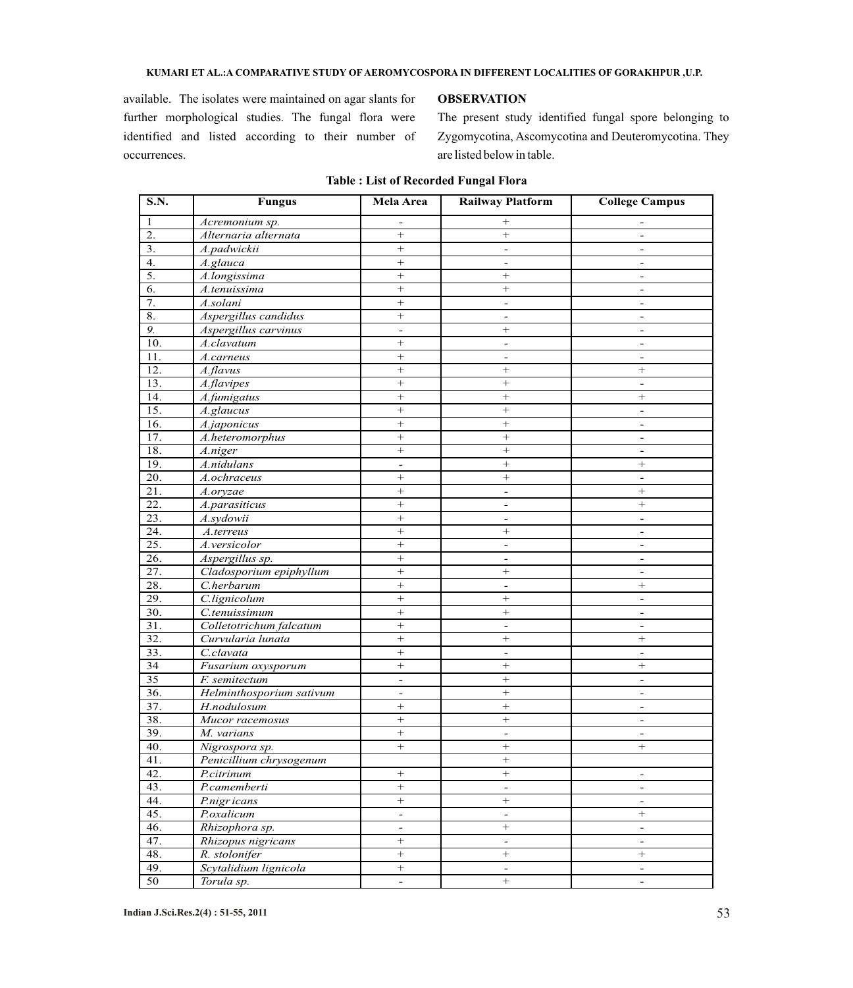#### **KUMARI ET AL.:A COMPARATIVE STUDY OF AEROMYCOSPORA IN DIFFERENT LOCALITIES OF GORAKHPUR ,U.P.**

available. The isolates were maintained on agar slants for further morphological studies. The fungal flora were identified and listed according to their number of occurrences.

### **OBSERVATION**

The present study identified fungal spore belonging to Zygomycotina, Ascomycotina and Deuteromycotina. They are listed below in table.

| 1<br>$+$<br>Acremonium sp.<br>$\blacksquare$<br>$\overline{2}$ .<br>Alternaria alternata<br>$\boldsymbol{+}$<br>$\boldsymbol{+}$<br>$\blacksquare$<br>3.<br>A.padwickii<br>$^{+}$<br>$\overline{\phantom{a}}$<br>$\overline{\phantom{a}}$<br>4.<br>A.glauca<br>$+$<br>$\overline{\phantom{a}}$<br>$\overline{\phantom{a}}$<br>5.<br>$^{+}$<br>A.longissima<br>$+$<br>$\blacksquare$<br>6.<br>$+$<br>A.tenuissima<br>$\blacksquare$<br>7.<br>$\! +$<br>A.solani<br>$\overline{\phantom{a}}$<br>$\overline{\phantom{a}}$<br>8.<br>$^{+}$<br>Aspergillus candidus<br>$\overline{\phantom{a}}$<br>$\overline{\phantom{a}}$<br>$\overline{9}$ .<br>Aspergillus carvinus<br>$+$<br>$\overline{\phantom{a}}$<br>$\blacksquare$<br>10.<br>$+$<br>A.clavatum<br>$\overline{\phantom{a}}$<br>11.<br>$+$<br>A.carneus<br>$\blacksquare$<br>$\blacksquare$<br>12.<br>A.flavus<br>$+$<br>$+$<br>$\! + \!\!\!\!$<br>13.<br>$^{+}$<br>A.flavipes<br>$\overline{\phantom{a}}$<br>14.<br>$+$<br>$^{+}$<br>A.fumigatus<br>$\! + \!\!\!\!$<br>$+$<br>15.<br>$^{+}$<br>A.glaucus<br>$\overline{\phantom{a}}$<br>16.<br>$+$<br>A.japonicus<br>$\blacksquare$<br>17.<br>$\! +$<br>A.heteromorphus<br>$\overline{\phantom{a}}$<br>18.<br>$\! +$<br>$\boldsymbol{+}$<br>A.niger<br>$\blacksquare$<br>19.<br>A.nidulans<br>$+$<br>$^{+}$<br>$\overline{\phantom{a}}$<br>20.<br>$+$<br>$+$<br>A.ochraceus<br>$\overline{\phantom{a}}$<br>21.<br>$+$<br>A.oryzae<br>$\blacksquare$<br>22.<br>$+$<br>A.parasiticus<br>$\overline{\phantom{a}}$<br>23.<br>$\! +$<br>A.svdowii<br>$\overline{\phantom{a}}$<br>$\blacksquare$<br>24.<br>$+$<br>A.terreus<br>$+$<br>$\overline{\phantom{a}}$<br>25.<br>$+$<br>A.versicolor<br>$\overline{\phantom{a}}$<br>26.<br>$^{+}$<br>Aspergillus sp.<br>$\blacksquare$<br>$\blacksquare$<br>27.<br>Cladosporium epiphyllum<br>$^{+}$<br>$^{+}$<br>$\overline{\phantom{a}}$<br>28.<br>$\! +$<br>C.herbarum<br>$^{+}$<br>$\overline{\phantom{a}}$<br>29.<br>C.lignicolum<br>$+$<br>$+$<br>$\overline{\phantom{a}}$<br>30.<br>$^{+}$<br>$+$<br>C.tenuissimum<br>31.<br>$+$<br>Colletotrichum falcatum<br>$\blacksquare$<br>$\overline{\phantom{a}}$<br>32.<br>$^{+}$<br>Curvularia lunata<br>$^{+}$<br>$+$<br>33.<br>$\! +$<br>C.clavata<br>$\blacksquare$<br>$\blacksquare$<br>34<br>Fusarium oxysporum<br>$+$<br>$\! + \!\!\!\!$<br>$\overline{35}$<br>$+$<br>F. semitectum<br>$\overline{a}$<br>$\blacksquare$<br>36.<br>Helminthosporium sativum<br>$\blacksquare$<br>$\overline{\phantom{a}}$<br>37.<br>H.nodulosum<br>$^{+}$<br>$\overline{\phantom{a}}$<br>38.<br>$\! +$<br>$\boldsymbol{+}$<br>Mucor racemosus<br>$\blacksquare$<br>39.<br>$^{+}$<br>M. varians<br>$\overline{\phantom{a}}$<br>$\overline{\phantom{a}}$<br>40.<br>$+$<br>$\! + \!\!\!\!$<br>Nigrospora sp.<br>Penicillium chrysogenum<br>41.<br>$+$<br>$\overline{+}$<br>42.<br>$+$<br>P.citrinum<br>$\blacksquare$<br>43.<br>P.camemberti<br>$\qquad \qquad +$<br>$\blacksquare$<br>$\equiv$<br>44.<br>$\overline{+}$<br>P.nigricans<br>$\boldsymbol{+}$<br>$\equiv$<br>45.<br>P.oxalicum<br>$\Box$<br>$\boldsymbol{+}$<br>$\blacksquare$<br>46.<br>Rhizophora sp.<br>$\qquad \qquad +$<br>$\overline{\phantom{a}}$<br>$\equiv$<br>Rhizopus nigricans<br>$\! +$<br>47.<br>$\blacksquare$<br>$\blacksquare$<br>48.<br>R. stolonifer<br>$+$<br>$+$<br>$\boldsymbol{+}$<br>49.<br>Scytalidium lignicola<br>$+$<br>$\blacksquare$<br>$\blacksquare$ | S.N. | <b>Fungus</b> | Mela Area                | <b>Railway Platform</b> | <b>College Campus</b> |
|-----------------------------------------------------------------------------------------------------------------------------------------------------------------------------------------------------------------------------------------------------------------------------------------------------------------------------------------------------------------------------------------------------------------------------------------------------------------------------------------------------------------------------------------------------------------------------------------------------------------------------------------------------------------------------------------------------------------------------------------------------------------------------------------------------------------------------------------------------------------------------------------------------------------------------------------------------------------------------------------------------------------------------------------------------------------------------------------------------------------------------------------------------------------------------------------------------------------------------------------------------------------------------------------------------------------------------------------------------------------------------------------------------------------------------------------------------------------------------------------------------------------------------------------------------------------------------------------------------------------------------------------------------------------------------------------------------------------------------------------------------------------------------------------------------------------------------------------------------------------------------------------------------------------------------------------------------------------------------------------------------------------------------------------------------------------------------------------------------------------------------------------------------------------------------------------------------------------------------------------------------------------------------------------------------------------------------------------------------------------------------------------------------------------------------------------------------------------------------------------------------------------------------------------------------------------------------------------------------------------------------------------------------------------------------------------------------------------------------------------------------------------------------------------------------------------------------------------------------------------------------------------------------------------------------------------------------------------------------------------------------------------------------------------------------------------------------------------------------------------------------------------------------------------------------------------------------------------------------------------------------------------------------------------------------------------------------------------------------------------------------------------------------------------------------|------|---------------|--------------------------|-------------------------|-----------------------|
|                                                                                                                                                                                                                                                                                                                                                                                                                                                                                                                                                                                                                                                                                                                                                                                                                                                                                                                                                                                                                                                                                                                                                                                                                                                                                                                                                                                                                                                                                                                                                                                                                                                                                                                                                                                                                                                                                                                                                                                                                                                                                                                                                                                                                                                                                                                                                                                                                                                                                                                                                                                                                                                                                                                                                                                                                                                                                                                                                                                                                                                                                                                                                                                                                                                                                                                                                                                                                             |      |               |                          |                         |                       |
|                                                                                                                                                                                                                                                                                                                                                                                                                                                                                                                                                                                                                                                                                                                                                                                                                                                                                                                                                                                                                                                                                                                                                                                                                                                                                                                                                                                                                                                                                                                                                                                                                                                                                                                                                                                                                                                                                                                                                                                                                                                                                                                                                                                                                                                                                                                                                                                                                                                                                                                                                                                                                                                                                                                                                                                                                                                                                                                                                                                                                                                                                                                                                                                                                                                                                                                                                                                                                             |      |               |                          |                         |                       |
|                                                                                                                                                                                                                                                                                                                                                                                                                                                                                                                                                                                                                                                                                                                                                                                                                                                                                                                                                                                                                                                                                                                                                                                                                                                                                                                                                                                                                                                                                                                                                                                                                                                                                                                                                                                                                                                                                                                                                                                                                                                                                                                                                                                                                                                                                                                                                                                                                                                                                                                                                                                                                                                                                                                                                                                                                                                                                                                                                                                                                                                                                                                                                                                                                                                                                                                                                                                                                             |      |               |                          |                         |                       |
|                                                                                                                                                                                                                                                                                                                                                                                                                                                                                                                                                                                                                                                                                                                                                                                                                                                                                                                                                                                                                                                                                                                                                                                                                                                                                                                                                                                                                                                                                                                                                                                                                                                                                                                                                                                                                                                                                                                                                                                                                                                                                                                                                                                                                                                                                                                                                                                                                                                                                                                                                                                                                                                                                                                                                                                                                                                                                                                                                                                                                                                                                                                                                                                                                                                                                                                                                                                                                             |      |               |                          |                         |                       |
|                                                                                                                                                                                                                                                                                                                                                                                                                                                                                                                                                                                                                                                                                                                                                                                                                                                                                                                                                                                                                                                                                                                                                                                                                                                                                                                                                                                                                                                                                                                                                                                                                                                                                                                                                                                                                                                                                                                                                                                                                                                                                                                                                                                                                                                                                                                                                                                                                                                                                                                                                                                                                                                                                                                                                                                                                                                                                                                                                                                                                                                                                                                                                                                                                                                                                                                                                                                                                             |      |               |                          |                         |                       |
|                                                                                                                                                                                                                                                                                                                                                                                                                                                                                                                                                                                                                                                                                                                                                                                                                                                                                                                                                                                                                                                                                                                                                                                                                                                                                                                                                                                                                                                                                                                                                                                                                                                                                                                                                                                                                                                                                                                                                                                                                                                                                                                                                                                                                                                                                                                                                                                                                                                                                                                                                                                                                                                                                                                                                                                                                                                                                                                                                                                                                                                                                                                                                                                                                                                                                                                                                                                                                             |      |               |                          |                         |                       |
|                                                                                                                                                                                                                                                                                                                                                                                                                                                                                                                                                                                                                                                                                                                                                                                                                                                                                                                                                                                                                                                                                                                                                                                                                                                                                                                                                                                                                                                                                                                                                                                                                                                                                                                                                                                                                                                                                                                                                                                                                                                                                                                                                                                                                                                                                                                                                                                                                                                                                                                                                                                                                                                                                                                                                                                                                                                                                                                                                                                                                                                                                                                                                                                                                                                                                                                                                                                                                             |      |               |                          |                         |                       |
|                                                                                                                                                                                                                                                                                                                                                                                                                                                                                                                                                                                                                                                                                                                                                                                                                                                                                                                                                                                                                                                                                                                                                                                                                                                                                                                                                                                                                                                                                                                                                                                                                                                                                                                                                                                                                                                                                                                                                                                                                                                                                                                                                                                                                                                                                                                                                                                                                                                                                                                                                                                                                                                                                                                                                                                                                                                                                                                                                                                                                                                                                                                                                                                                                                                                                                                                                                                                                             |      |               |                          |                         |                       |
|                                                                                                                                                                                                                                                                                                                                                                                                                                                                                                                                                                                                                                                                                                                                                                                                                                                                                                                                                                                                                                                                                                                                                                                                                                                                                                                                                                                                                                                                                                                                                                                                                                                                                                                                                                                                                                                                                                                                                                                                                                                                                                                                                                                                                                                                                                                                                                                                                                                                                                                                                                                                                                                                                                                                                                                                                                                                                                                                                                                                                                                                                                                                                                                                                                                                                                                                                                                                                             |      |               |                          |                         |                       |
|                                                                                                                                                                                                                                                                                                                                                                                                                                                                                                                                                                                                                                                                                                                                                                                                                                                                                                                                                                                                                                                                                                                                                                                                                                                                                                                                                                                                                                                                                                                                                                                                                                                                                                                                                                                                                                                                                                                                                                                                                                                                                                                                                                                                                                                                                                                                                                                                                                                                                                                                                                                                                                                                                                                                                                                                                                                                                                                                                                                                                                                                                                                                                                                                                                                                                                                                                                                                                             |      |               |                          |                         |                       |
|                                                                                                                                                                                                                                                                                                                                                                                                                                                                                                                                                                                                                                                                                                                                                                                                                                                                                                                                                                                                                                                                                                                                                                                                                                                                                                                                                                                                                                                                                                                                                                                                                                                                                                                                                                                                                                                                                                                                                                                                                                                                                                                                                                                                                                                                                                                                                                                                                                                                                                                                                                                                                                                                                                                                                                                                                                                                                                                                                                                                                                                                                                                                                                                                                                                                                                                                                                                                                             |      |               |                          |                         |                       |
|                                                                                                                                                                                                                                                                                                                                                                                                                                                                                                                                                                                                                                                                                                                                                                                                                                                                                                                                                                                                                                                                                                                                                                                                                                                                                                                                                                                                                                                                                                                                                                                                                                                                                                                                                                                                                                                                                                                                                                                                                                                                                                                                                                                                                                                                                                                                                                                                                                                                                                                                                                                                                                                                                                                                                                                                                                                                                                                                                                                                                                                                                                                                                                                                                                                                                                                                                                                                                             |      |               |                          |                         |                       |
|                                                                                                                                                                                                                                                                                                                                                                                                                                                                                                                                                                                                                                                                                                                                                                                                                                                                                                                                                                                                                                                                                                                                                                                                                                                                                                                                                                                                                                                                                                                                                                                                                                                                                                                                                                                                                                                                                                                                                                                                                                                                                                                                                                                                                                                                                                                                                                                                                                                                                                                                                                                                                                                                                                                                                                                                                                                                                                                                                                                                                                                                                                                                                                                                                                                                                                                                                                                                                             |      |               |                          |                         |                       |
|                                                                                                                                                                                                                                                                                                                                                                                                                                                                                                                                                                                                                                                                                                                                                                                                                                                                                                                                                                                                                                                                                                                                                                                                                                                                                                                                                                                                                                                                                                                                                                                                                                                                                                                                                                                                                                                                                                                                                                                                                                                                                                                                                                                                                                                                                                                                                                                                                                                                                                                                                                                                                                                                                                                                                                                                                                                                                                                                                                                                                                                                                                                                                                                                                                                                                                                                                                                                                             |      |               |                          |                         |                       |
|                                                                                                                                                                                                                                                                                                                                                                                                                                                                                                                                                                                                                                                                                                                                                                                                                                                                                                                                                                                                                                                                                                                                                                                                                                                                                                                                                                                                                                                                                                                                                                                                                                                                                                                                                                                                                                                                                                                                                                                                                                                                                                                                                                                                                                                                                                                                                                                                                                                                                                                                                                                                                                                                                                                                                                                                                                                                                                                                                                                                                                                                                                                                                                                                                                                                                                                                                                                                                             |      |               |                          |                         |                       |
|                                                                                                                                                                                                                                                                                                                                                                                                                                                                                                                                                                                                                                                                                                                                                                                                                                                                                                                                                                                                                                                                                                                                                                                                                                                                                                                                                                                                                                                                                                                                                                                                                                                                                                                                                                                                                                                                                                                                                                                                                                                                                                                                                                                                                                                                                                                                                                                                                                                                                                                                                                                                                                                                                                                                                                                                                                                                                                                                                                                                                                                                                                                                                                                                                                                                                                                                                                                                                             |      |               |                          |                         |                       |
|                                                                                                                                                                                                                                                                                                                                                                                                                                                                                                                                                                                                                                                                                                                                                                                                                                                                                                                                                                                                                                                                                                                                                                                                                                                                                                                                                                                                                                                                                                                                                                                                                                                                                                                                                                                                                                                                                                                                                                                                                                                                                                                                                                                                                                                                                                                                                                                                                                                                                                                                                                                                                                                                                                                                                                                                                                                                                                                                                                                                                                                                                                                                                                                                                                                                                                                                                                                                                             |      |               |                          |                         |                       |
|                                                                                                                                                                                                                                                                                                                                                                                                                                                                                                                                                                                                                                                                                                                                                                                                                                                                                                                                                                                                                                                                                                                                                                                                                                                                                                                                                                                                                                                                                                                                                                                                                                                                                                                                                                                                                                                                                                                                                                                                                                                                                                                                                                                                                                                                                                                                                                                                                                                                                                                                                                                                                                                                                                                                                                                                                                                                                                                                                                                                                                                                                                                                                                                                                                                                                                                                                                                                                             |      |               |                          |                         |                       |
|                                                                                                                                                                                                                                                                                                                                                                                                                                                                                                                                                                                                                                                                                                                                                                                                                                                                                                                                                                                                                                                                                                                                                                                                                                                                                                                                                                                                                                                                                                                                                                                                                                                                                                                                                                                                                                                                                                                                                                                                                                                                                                                                                                                                                                                                                                                                                                                                                                                                                                                                                                                                                                                                                                                                                                                                                                                                                                                                                                                                                                                                                                                                                                                                                                                                                                                                                                                                                             |      |               |                          |                         |                       |
|                                                                                                                                                                                                                                                                                                                                                                                                                                                                                                                                                                                                                                                                                                                                                                                                                                                                                                                                                                                                                                                                                                                                                                                                                                                                                                                                                                                                                                                                                                                                                                                                                                                                                                                                                                                                                                                                                                                                                                                                                                                                                                                                                                                                                                                                                                                                                                                                                                                                                                                                                                                                                                                                                                                                                                                                                                                                                                                                                                                                                                                                                                                                                                                                                                                                                                                                                                                                                             |      |               |                          |                         |                       |
|                                                                                                                                                                                                                                                                                                                                                                                                                                                                                                                                                                                                                                                                                                                                                                                                                                                                                                                                                                                                                                                                                                                                                                                                                                                                                                                                                                                                                                                                                                                                                                                                                                                                                                                                                                                                                                                                                                                                                                                                                                                                                                                                                                                                                                                                                                                                                                                                                                                                                                                                                                                                                                                                                                                                                                                                                                                                                                                                                                                                                                                                                                                                                                                                                                                                                                                                                                                                                             |      |               |                          |                         |                       |
|                                                                                                                                                                                                                                                                                                                                                                                                                                                                                                                                                                                                                                                                                                                                                                                                                                                                                                                                                                                                                                                                                                                                                                                                                                                                                                                                                                                                                                                                                                                                                                                                                                                                                                                                                                                                                                                                                                                                                                                                                                                                                                                                                                                                                                                                                                                                                                                                                                                                                                                                                                                                                                                                                                                                                                                                                                                                                                                                                                                                                                                                                                                                                                                                                                                                                                                                                                                                                             |      |               |                          |                         |                       |
|                                                                                                                                                                                                                                                                                                                                                                                                                                                                                                                                                                                                                                                                                                                                                                                                                                                                                                                                                                                                                                                                                                                                                                                                                                                                                                                                                                                                                                                                                                                                                                                                                                                                                                                                                                                                                                                                                                                                                                                                                                                                                                                                                                                                                                                                                                                                                                                                                                                                                                                                                                                                                                                                                                                                                                                                                                                                                                                                                                                                                                                                                                                                                                                                                                                                                                                                                                                                                             |      |               |                          |                         |                       |
|                                                                                                                                                                                                                                                                                                                                                                                                                                                                                                                                                                                                                                                                                                                                                                                                                                                                                                                                                                                                                                                                                                                                                                                                                                                                                                                                                                                                                                                                                                                                                                                                                                                                                                                                                                                                                                                                                                                                                                                                                                                                                                                                                                                                                                                                                                                                                                                                                                                                                                                                                                                                                                                                                                                                                                                                                                                                                                                                                                                                                                                                                                                                                                                                                                                                                                                                                                                                                             |      |               |                          |                         |                       |
|                                                                                                                                                                                                                                                                                                                                                                                                                                                                                                                                                                                                                                                                                                                                                                                                                                                                                                                                                                                                                                                                                                                                                                                                                                                                                                                                                                                                                                                                                                                                                                                                                                                                                                                                                                                                                                                                                                                                                                                                                                                                                                                                                                                                                                                                                                                                                                                                                                                                                                                                                                                                                                                                                                                                                                                                                                                                                                                                                                                                                                                                                                                                                                                                                                                                                                                                                                                                                             |      |               |                          |                         |                       |
|                                                                                                                                                                                                                                                                                                                                                                                                                                                                                                                                                                                                                                                                                                                                                                                                                                                                                                                                                                                                                                                                                                                                                                                                                                                                                                                                                                                                                                                                                                                                                                                                                                                                                                                                                                                                                                                                                                                                                                                                                                                                                                                                                                                                                                                                                                                                                                                                                                                                                                                                                                                                                                                                                                                                                                                                                                                                                                                                                                                                                                                                                                                                                                                                                                                                                                                                                                                                                             |      |               |                          |                         |                       |
|                                                                                                                                                                                                                                                                                                                                                                                                                                                                                                                                                                                                                                                                                                                                                                                                                                                                                                                                                                                                                                                                                                                                                                                                                                                                                                                                                                                                                                                                                                                                                                                                                                                                                                                                                                                                                                                                                                                                                                                                                                                                                                                                                                                                                                                                                                                                                                                                                                                                                                                                                                                                                                                                                                                                                                                                                                                                                                                                                                                                                                                                                                                                                                                                                                                                                                                                                                                                                             |      |               |                          |                         |                       |
|                                                                                                                                                                                                                                                                                                                                                                                                                                                                                                                                                                                                                                                                                                                                                                                                                                                                                                                                                                                                                                                                                                                                                                                                                                                                                                                                                                                                                                                                                                                                                                                                                                                                                                                                                                                                                                                                                                                                                                                                                                                                                                                                                                                                                                                                                                                                                                                                                                                                                                                                                                                                                                                                                                                                                                                                                                                                                                                                                                                                                                                                                                                                                                                                                                                                                                                                                                                                                             |      |               |                          |                         |                       |
|                                                                                                                                                                                                                                                                                                                                                                                                                                                                                                                                                                                                                                                                                                                                                                                                                                                                                                                                                                                                                                                                                                                                                                                                                                                                                                                                                                                                                                                                                                                                                                                                                                                                                                                                                                                                                                                                                                                                                                                                                                                                                                                                                                                                                                                                                                                                                                                                                                                                                                                                                                                                                                                                                                                                                                                                                                                                                                                                                                                                                                                                                                                                                                                                                                                                                                                                                                                                                             |      |               |                          |                         |                       |
|                                                                                                                                                                                                                                                                                                                                                                                                                                                                                                                                                                                                                                                                                                                                                                                                                                                                                                                                                                                                                                                                                                                                                                                                                                                                                                                                                                                                                                                                                                                                                                                                                                                                                                                                                                                                                                                                                                                                                                                                                                                                                                                                                                                                                                                                                                                                                                                                                                                                                                                                                                                                                                                                                                                                                                                                                                                                                                                                                                                                                                                                                                                                                                                                                                                                                                                                                                                                                             |      |               |                          |                         |                       |
|                                                                                                                                                                                                                                                                                                                                                                                                                                                                                                                                                                                                                                                                                                                                                                                                                                                                                                                                                                                                                                                                                                                                                                                                                                                                                                                                                                                                                                                                                                                                                                                                                                                                                                                                                                                                                                                                                                                                                                                                                                                                                                                                                                                                                                                                                                                                                                                                                                                                                                                                                                                                                                                                                                                                                                                                                                                                                                                                                                                                                                                                                                                                                                                                                                                                                                                                                                                                                             |      |               |                          |                         |                       |
|                                                                                                                                                                                                                                                                                                                                                                                                                                                                                                                                                                                                                                                                                                                                                                                                                                                                                                                                                                                                                                                                                                                                                                                                                                                                                                                                                                                                                                                                                                                                                                                                                                                                                                                                                                                                                                                                                                                                                                                                                                                                                                                                                                                                                                                                                                                                                                                                                                                                                                                                                                                                                                                                                                                                                                                                                                                                                                                                                                                                                                                                                                                                                                                                                                                                                                                                                                                                                             |      |               |                          |                         |                       |
|                                                                                                                                                                                                                                                                                                                                                                                                                                                                                                                                                                                                                                                                                                                                                                                                                                                                                                                                                                                                                                                                                                                                                                                                                                                                                                                                                                                                                                                                                                                                                                                                                                                                                                                                                                                                                                                                                                                                                                                                                                                                                                                                                                                                                                                                                                                                                                                                                                                                                                                                                                                                                                                                                                                                                                                                                                                                                                                                                                                                                                                                                                                                                                                                                                                                                                                                                                                                                             |      |               |                          |                         |                       |
|                                                                                                                                                                                                                                                                                                                                                                                                                                                                                                                                                                                                                                                                                                                                                                                                                                                                                                                                                                                                                                                                                                                                                                                                                                                                                                                                                                                                                                                                                                                                                                                                                                                                                                                                                                                                                                                                                                                                                                                                                                                                                                                                                                                                                                                                                                                                                                                                                                                                                                                                                                                                                                                                                                                                                                                                                                                                                                                                                                                                                                                                                                                                                                                                                                                                                                                                                                                                                             |      |               |                          |                         |                       |
|                                                                                                                                                                                                                                                                                                                                                                                                                                                                                                                                                                                                                                                                                                                                                                                                                                                                                                                                                                                                                                                                                                                                                                                                                                                                                                                                                                                                                                                                                                                                                                                                                                                                                                                                                                                                                                                                                                                                                                                                                                                                                                                                                                                                                                                                                                                                                                                                                                                                                                                                                                                                                                                                                                                                                                                                                                                                                                                                                                                                                                                                                                                                                                                                                                                                                                                                                                                                                             |      |               |                          |                         |                       |
|                                                                                                                                                                                                                                                                                                                                                                                                                                                                                                                                                                                                                                                                                                                                                                                                                                                                                                                                                                                                                                                                                                                                                                                                                                                                                                                                                                                                                                                                                                                                                                                                                                                                                                                                                                                                                                                                                                                                                                                                                                                                                                                                                                                                                                                                                                                                                                                                                                                                                                                                                                                                                                                                                                                                                                                                                                                                                                                                                                                                                                                                                                                                                                                                                                                                                                                                                                                                                             |      |               |                          |                         |                       |
|                                                                                                                                                                                                                                                                                                                                                                                                                                                                                                                                                                                                                                                                                                                                                                                                                                                                                                                                                                                                                                                                                                                                                                                                                                                                                                                                                                                                                                                                                                                                                                                                                                                                                                                                                                                                                                                                                                                                                                                                                                                                                                                                                                                                                                                                                                                                                                                                                                                                                                                                                                                                                                                                                                                                                                                                                                                                                                                                                                                                                                                                                                                                                                                                                                                                                                                                                                                                                             |      |               |                          |                         |                       |
|                                                                                                                                                                                                                                                                                                                                                                                                                                                                                                                                                                                                                                                                                                                                                                                                                                                                                                                                                                                                                                                                                                                                                                                                                                                                                                                                                                                                                                                                                                                                                                                                                                                                                                                                                                                                                                                                                                                                                                                                                                                                                                                                                                                                                                                                                                                                                                                                                                                                                                                                                                                                                                                                                                                                                                                                                                                                                                                                                                                                                                                                                                                                                                                                                                                                                                                                                                                                                             |      |               |                          |                         |                       |
|                                                                                                                                                                                                                                                                                                                                                                                                                                                                                                                                                                                                                                                                                                                                                                                                                                                                                                                                                                                                                                                                                                                                                                                                                                                                                                                                                                                                                                                                                                                                                                                                                                                                                                                                                                                                                                                                                                                                                                                                                                                                                                                                                                                                                                                                                                                                                                                                                                                                                                                                                                                                                                                                                                                                                                                                                                                                                                                                                                                                                                                                                                                                                                                                                                                                                                                                                                                                                             |      |               |                          |                         |                       |
|                                                                                                                                                                                                                                                                                                                                                                                                                                                                                                                                                                                                                                                                                                                                                                                                                                                                                                                                                                                                                                                                                                                                                                                                                                                                                                                                                                                                                                                                                                                                                                                                                                                                                                                                                                                                                                                                                                                                                                                                                                                                                                                                                                                                                                                                                                                                                                                                                                                                                                                                                                                                                                                                                                                                                                                                                                                                                                                                                                                                                                                                                                                                                                                                                                                                                                                                                                                                                             |      |               |                          |                         |                       |
|                                                                                                                                                                                                                                                                                                                                                                                                                                                                                                                                                                                                                                                                                                                                                                                                                                                                                                                                                                                                                                                                                                                                                                                                                                                                                                                                                                                                                                                                                                                                                                                                                                                                                                                                                                                                                                                                                                                                                                                                                                                                                                                                                                                                                                                                                                                                                                                                                                                                                                                                                                                                                                                                                                                                                                                                                                                                                                                                                                                                                                                                                                                                                                                                                                                                                                                                                                                                                             |      |               |                          |                         |                       |
|                                                                                                                                                                                                                                                                                                                                                                                                                                                                                                                                                                                                                                                                                                                                                                                                                                                                                                                                                                                                                                                                                                                                                                                                                                                                                                                                                                                                                                                                                                                                                                                                                                                                                                                                                                                                                                                                                                                                                                                                                                                                                                                                                                                                                                                                                                                                                                                                                                                                                                                                                                                                                                                                                                                                                                                                                                                                                                                                                                                                                                                                                                                                                                                                                                                                                                                                                                                                                             |      |               |                          |                         |                       |
|                                                                                                                                                                                                                                                                                                                                                                                                                                                                                                                                                                                                                                                                                                                                                                                                                                                                                                                                                                                                                                                                                                                                                                                                                                                                                                                                                                                                                                                                                                                                                                                                                                                                                                                                                                                                                                                                                                                                                                                                                                                                                                                                                                                                                                                                                                                                                                                                                                                                                                                                                                                                                                                                                                                                                                                                                                                                                                                                                                                                                                                                                                                                                                                                                                                                                                                                                                                                                             |      |               |                          |                         |                       |
|                                                                                                                                                                                                                                                                                                                                                                                                                                                                                                                                                                                                                                                                                                                                                                                                                                                                                                                                                                                                                                                                                                                                                                                                                                                                                                                                                                                                                                                                                                                                                                                                                                                                                                                                                                                                                                                                                                                                                                                                                                                                                                                                                                                                                                                                                                                                                                                                                                                                                                                                                                                                                                                                                                                                                                                                                                                                                                                                                                                                                                                                                                                                                                                                                                                                                                                                                                                                                             |      |               |                          |                         |                       |
|                                                                                                                                                                                                                                                                                                                                                                                                                                                                                                                                                                                                                                                                                                                                                                                                                                                                                                                                                                                                                                                                                                                                                                                                                                                                                                                                                                                                                                                                                                                                                                                                                                                                                                                                                                                                                                                                                                                                                                                                                                                                                                                                                                                                                                                                                                                                                                                                                                                                                                                                                                                                                                                                                                                                                                                                                                                                                                                                                                                                                                                                                                                                                                                                                                                                                                                                                                                                                             |      |               |                          |                         |                       |
|                                                                                                                                                                                                                                                                                                                                                                                                                                                                                                                                                                                                                                                                                                                                                                                                                                                                                                                                                                                                                                                                                                                                                                                                                                                                                                                                                                                                                                                                                                                                                                                                                                                                                                                                                                                                                                                                                                                                                                                                                                                                                                                                                                                                                                                                                                                                                                                                                                                                                                                                                                                                                                                                                                                                                                                                                                                                                                                                                                                                                                                                                                                                                                                                                                                                                                                                                                                                                             |      |               |                          |                         |                       |
|                                                                                                                                                                                                                                                                                                                                                                                                                                                                                                                                                                                                                                                                                                                                                                                                                                                                                                                                                                                                                                                                                                                                                                                                                                                                                                                                                                                                                                                                                                                                                                                                                                                                                                                                                                                                                                                                                                                                                                                                                                                                                                                                                                                                                                                                                                                                                                                                                                                                                                                                                                                                                                                                                                                                                                                                                                                                                                                                                                                                                                                                                                                                                                                                                                                                                                                                                                                                                             |      |               |                          |                         |                       |
|                                                                                                                                                                                                                                                                                                                                                                                                                                                                                                                                                                                                                                                                                                                                                                                                                                                                                                                                                                                                                                                                                                                                                                                                                                                                                                                                                                                                                                                                                                                                                                                                                                                                                                                                                                                                                                                                                                                                                                                                                                                                                                                                                                                                                                                                                                                                                                                                                                                                                                                                                                                                                                                                                                                                                                                                                                                                                                                                                                                                                                                                                                                                                                                                                                                                                                                                                                                                                             |      |               |                          |                         |                       |
|                                                                                                                                                                                                                                                                                                                                                                                                                                                                                                                                                                                                                                                                                                                                                                                                                                                                                                                                                                                                                                                                                                                                                                                                                                                                                                                                                                                                                                                                                                                                                                                                                                                                                                                                                                                                                                                                                                                                                                                                                                                                                                                                                                                                                                                                                                                                                                                                                                                                                                                                                                                                                                                                                                                                                                                                                                                                                                                                                                                                                                                                                                                                                                                                                                                                                                                                                                                                                             |      |               |                          |                         |                       |
|                                                                                                                                                                                                                                                                                                                                                                                                                                                                                                                                                                                                                                                                                                                                                                                                                                                                                                                                                                                                                                                                                                                                                                                                                                                                                                                                                                                                                                                                                                                                                                                                                                                                                                                                                                                                                                                                                                                                                                                                                                                                                                                                                                                                                                                                                                                                                                                                                                                                                                                                                                                                                                                                                                                                                                                                                                                                                                                                                                                                                                                                                                                                                                                                                                                                                                                                                                                                                             | 50   | Torula sp.    | $\overline{\phantom{a}}$ | $\boldsymbol{+}$        | $\blacksquare$        |

#### **Table : List of Recorded Fungal Flora**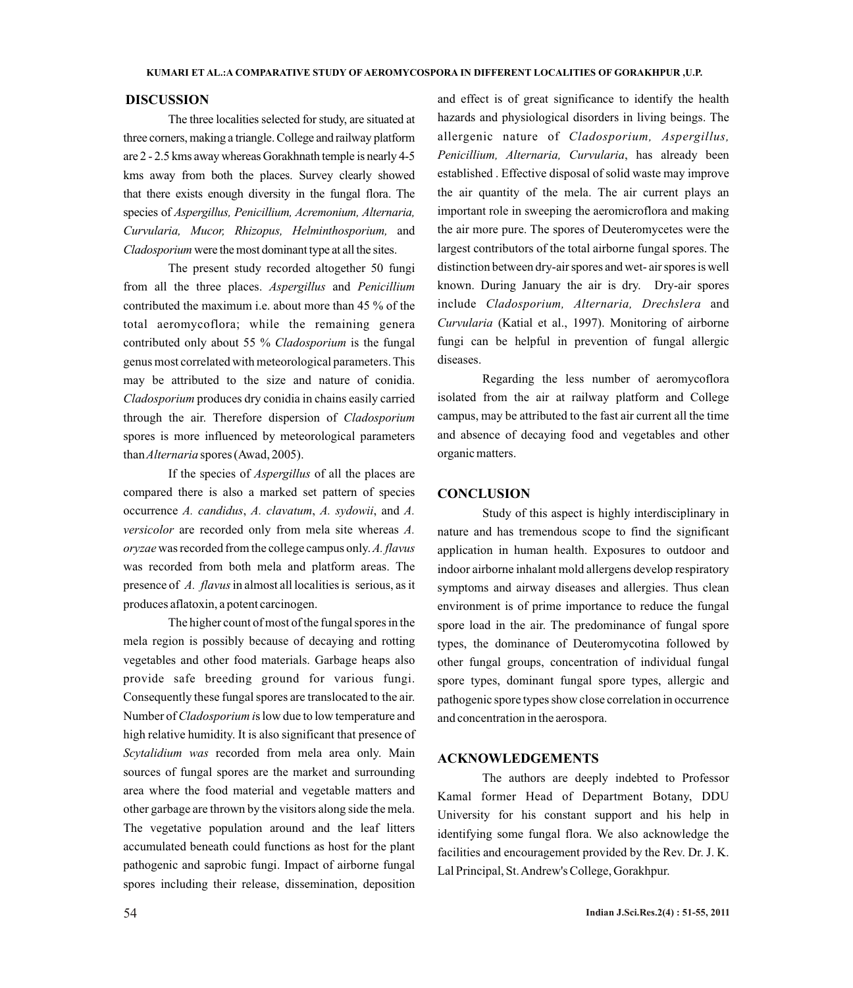#### **DISCUSSION**

The three localities selected for study, are situated at three corners, making a triangle. College and railway platform are 2 - 2.5 kms away whereas Gorakhnath temple is nearly 4-5 kms away from both the places. Survey clearly showed that there exists enough diversity in the fungal flora. The species of *Aspergillus, Penicillium, Acremonium, Alternaria, Curvularia, Mucor, Rhizopus, Helminthosporium,* and *Cladosporium* were the most dominant type at all the sites.

The present study recorded altogether 50 fungi from all the three places. *Aspergillus* and *Penicillium* contributed the maximum i.e. about more than 45 % of the total aeromycoflora; while the remaining genera contributed only about 55 % *Cladosporium* is the fungal genus most correlated with meteorological parameters. This may be attributed to the size and nature of conidia. *Cladosporium* produces dry conidia in chains easily carried through the air. Therefore dispersion of *Cladosporium*  spores is more influenced by meteorological parameters than*Alternaria* spores (Awad, 2005).

If the species of *Aspergillus* of all the places are compared there is also a marked set pattern of species occurrence *A. candidus*, *A. clavatum*, *A. sydowii*, and *A. versicolor* are recorded only from mela site whereas *A. oryzae* was recorded from the college campus only. *A. flavus* was recorded from both mela and platform areas. The presence of *A. flavus* in almost all localities is serious, as it produces aflatoxin, a potent carcinogen.

The higher count of most of the fungal spores in the mela region is possibly because of decaying and rotting vegetables and other food materials. Garbage heaps also provide safe breeding ground for various fungi. Consequently these fungal spores are translocated to the air. Number of *Cladosporium i*s low due to low temperature and high relative humidity. It is also significant that presence of *Scytalidium was* recorded from mela area only. Main sources of fungal spores are the market and surrounding area where the food material and vegetable matters and other garbage are thrown by the visitors along side the mela. The vegetative population around and the leaf litters accumulated beneath could functions as host for the plant pathogenic and saprobic fungi. Impact of airborne fungal spores including their release, dissemination, deposition

and effect is of great significance to identify the health hazards and physiological disorders in living beings. The allergenic nature of *Cladosporium, Aspergillus, Penicillium, Alternaria, Curvularia*, has already been established . Effective disposal of solid waste may improve the air quantity of the mela. The air current plays an important role in sweeping the aeromicroflora and making the air more pure. The spores of Deuteromycetes were the largest contributors of the total airborne fungal spores. The distinction between dry-air spores and wet- air spores is well known. During January the air is dry. Dry-air spores include *Cladosporium, Alternaria, Drechslera* and *Curvularia* (Katial et al., 1997). Monitoring of airborne fungi can be helpful in prevention of fungal allergic diseases.

Regarding the less number of aeromycoflora isolated from the air at railway platform and College campus, may be attributed to the fast air current all the time and absence of decaying food and vegetables and other organic matters.

# **CONCLUSION**

Study of this aspect is highly interdisciplinary in nature and has tremendous scope to find the significant application in human health. Exposures to outdoor and indoor airborne inhalant mold allergens develop respiratory symptoms and airway diseases and allergies. Thus clean environment is of prime importance to reduce the fungal spore load in the air. The predominance of fungal spore types, the dominance of Deuteromycotina followed by other fungal groups, concentration of individual fungal spore types, dominant fungal spore types, allergic and pathogenic spore types show close correlation in occurrence and concentration in the aerospora.

# **ACKNOWLEDGEMENTS**

The authors are deeply indebted to Professor Kamal former Head of Department Botany, DDU University for his constant support and his help in identifying some fungal flora. We also acknowledge the facilities and encouragement provided by the Rev. Dr. J. K. Lal Principal, St. Andrew's College, Gorakhpur.